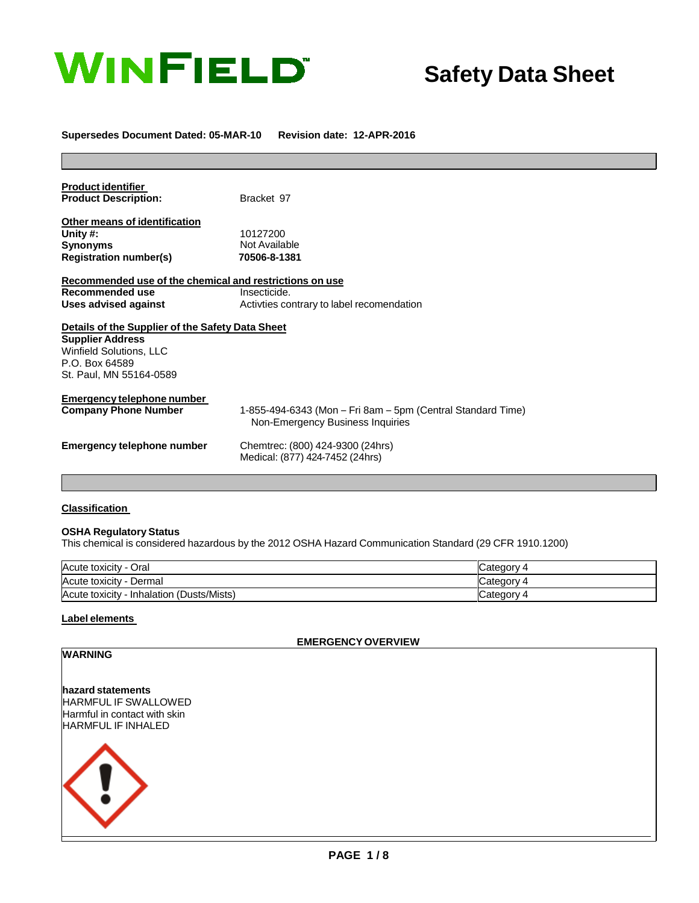

# **Safety Data Sheet**

#### **Supersedes Document Dated: 05-MAR-10 Revision date: 12-APR-2016**

| <b>Product identifier</b><br><b>Product Description:</b> | Bracket 97                                                                                      |
|----------------------------------------------------------|-------------------------------------------------------------------------------------------------|
|                                                          |                                                                                                 |
| Other means of identification<br>Unity #:                | 10127200                                                                                        |
| <b>Synonyms</b>                                          | Not Available                                                                                   |
| <b>Registration number(s)</b>                            | 70506-8-1381                                                                                    |
| Recommended use of the chemical and restrictions on use  |                                                                                                 |
| Recommended use                                          | Insecticide.                                                                                    |
| Uses advised against                                     | Activities contrary to label recomendation                                                      |
| Details of the Supplier of the Safety Data Sheet         |                                                                                                 |
| <b>Supplier Address</b>                                  |                                                                                                 |
| <b>Winfield Solutions, LLC</b>                           |                                                                                                 |
| P.O. Box 64589                                           |                                                                                                 |
| St. Paul, MN 55164-0589                                  |                                                                                                 |
| Emergency telephone number                               |                                                                                                 |
| <b>Company Phone Number</b>                              | 1-855-494-6343 (Mon – Fri 8am – 5pm (Central Standard Time)<br>Non-Emergency Business Inquiries |
| Emergency telephone number                               | Chemtrec: (800) 424-9300 (24hrs)                                                                |
|                                                          | Medical: (877) 424-7452 (24hrs)                                                                 |

#### **Classification**

#### **OSHA Regulatory Status**

This chemical is considered hazardous by the 2012 OSHA Hazard Communication Standard (29 CFR 1910.1200)

| Acute toxicity - Oral                           | Category 4   |
|-------------------------------------------------|--------------|
| Acute toxicity<br>′ - Dermal                    | – 4 atedory∟ |
| (Dusts/Mists)<br>Acute toxicity<br>- Inhalation | lCategory 4  |

**2. Hazards Identification**

#### **Label elements**

#### **EMERGENCYOVERVIEW**

| <b>WARNING</b>               |
|------------------------------|
|                              |
| hazard statements            |
| HARMFUL IF SWALLOWED         |
| Harmful in contact with skin |
| HARMFUL IF INHALED           |
|                              |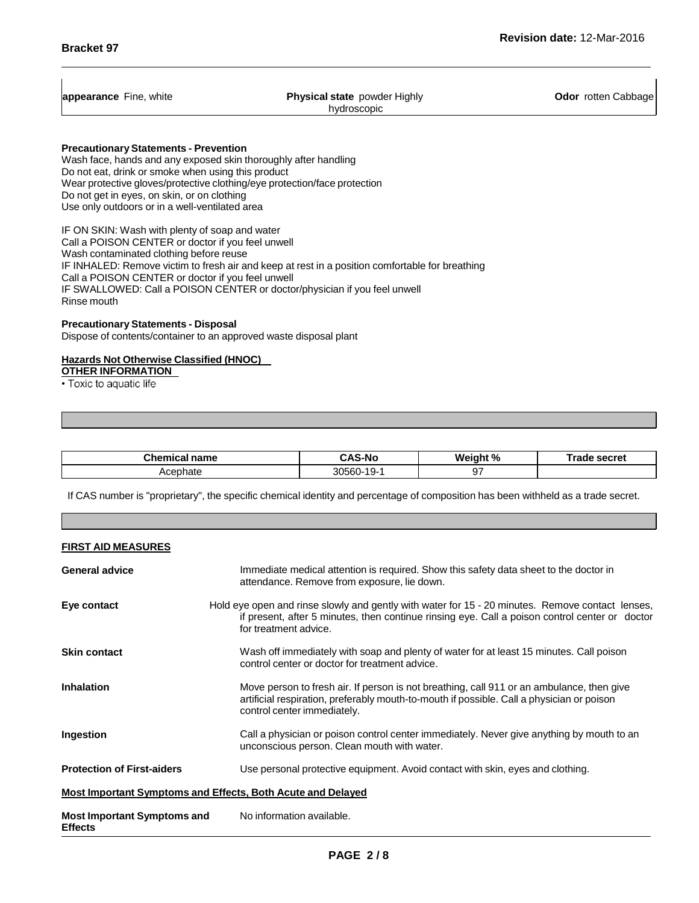| appearance Fine, white |  |  |
|------------------------|--|--|
|------------------------|--|--|

**Physical state** powder Highly hydroscopic

**Odor** rotten Cabbage

**PrecautionaryStatements - Prevention**

Wash face, hands and any exposed skin thoroughly after handling Do not eat, drink or smoke when using this product Wear protective gloves/protective clothing/eye protection/face protection Do not get in eyes, on skin, or on clothing Use only outdoors or in a well-ventilated area

IF ON SKIN: Wash with plenty of soap and water Call a POISON CENTER or doctor if you feel unwell Wash contaminated clothing before reuse IF INHALED: Remove victim to fresh air and keep at rest in a position comfortable for breathing Call a POISON CENTER or doctor if you feel unwell IF SWALLOWED: Call a POISON CENTER or doctor/physician if you feel unwell Rinse mouth

## **Precautionary Statements - Disposal**

Dispose of contents/container to an approved waste disposal plant

### **Hazards Not Otherwise Classified (HNOC)**

**OTHER INFORMATION**<br>• Toxic to aquatic life

**3. Composition/information on Ingredients Chemical name CAS-No Weight % Trade secret**

Acephate 1 30560-19-1 97

If CAS number is "proprietary", the specific chemical identity and percentage of composition has been withheld as a trade secret.

**4. First aid measures**

| <b>FIRST AID MEASURES</b>                            |                                                                                                                                                                                                                             |
|------------------------------------------------------|-----------------------------------------------------------------------------------------------------------------------------------------------------------------------------------------------------------------------------|
| <b>General advice</b>                                | Immediate medical attention is required. Show this safety data sheet to the doctor in<br>attendance. Remove from exposure, lie down.                                                                                        |
| Eye contact                                          | Hold eye open and rinse slowly and gently with water for 15 - 20 minutes. Remove contact lenses,<br>if present, after 5 minutes, then continue rinsing eye. Call a poison control center or doctor<br>for treatment advice. |
| <b>Skin contact</b>                                  | Wash off immediately with soap and plenty of water for at least 15 minutes. Call poison<br>control center or doctor for treatment advice.                                                                                   |
| <b>Inhalation</b>                                    | Move person to fresh air. If person is not breathing, call 911 or an ambulance, then give<br>artificial respiration, preferably mouth-to-mouth if possible. Call a physician or poison<br>control center immediately.       |
| Ingestion                                            | Call a physician or poison control center immediately. Never give anything by mouth to an<br>unconscious person. Clean mouth with water.                                                                                    |
| <b>Protection of First-aiders</b>                    | Use personal protective equipment. Avoid contact with skin, eyes and clothing.                                                                                                                                              |
|                                                      | Most Important Symptoms and Effects, Both Acute and Delayed                                                                                                                                                                 |
| <b>Most Important Symptoms and</b><br><b>Effects</b> | No information available.                                                                                                                                                                                                   |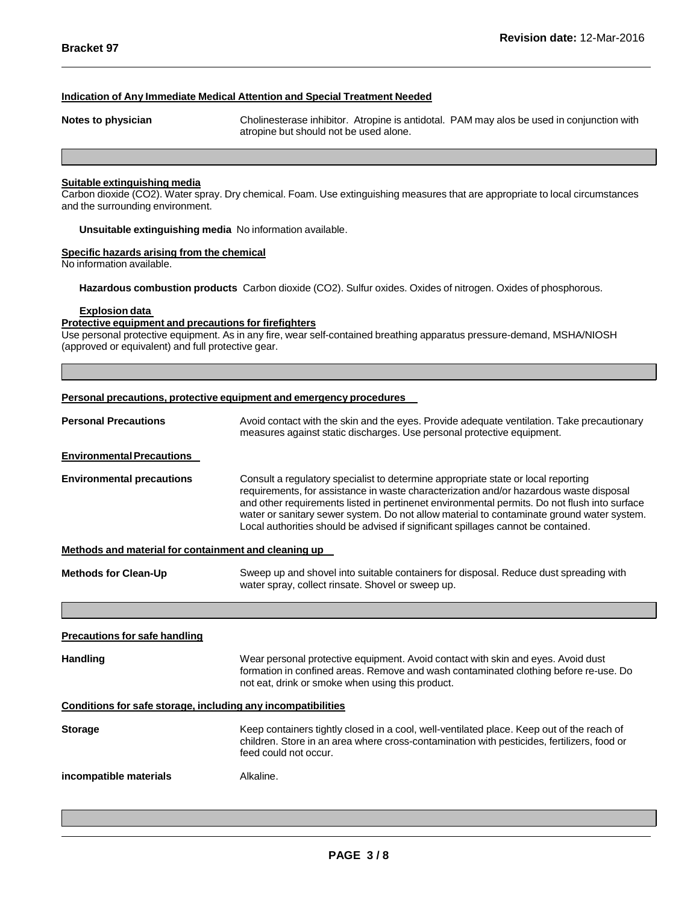#### **Indication of Any Immediate Medical Attention and Special Treatment Needed**

**Notes to physician** Cholinesterase inhibitor. Atropine is antidotal. PAM may alos be used in conjunction with atropine but should not be used alone.

#### **Suitable extinguishing media**

Carbon dioxide (CO2). Water spray. Dry chemical. Foam. Use extinguishing measures that are appropriate to local circumstances and the surrounding environment.

**5. Fire-fighting measures**

**Unsuitable extinguishing media** No information available.

#### **Specific hazards arising from the chemical**

No information available.

**Hazardous combustion products** Carbon dioxide (CO2). Sulfur oxides. Oxides of nitrogen. Oxides of phosphorous.

#### **Explosion data**

#### **Protective equipment and precautions for firefighters**

Use personal protective equipment. As in any fire, wear self-contained breathing apparatus pressure-demand, MSHA/NIOSH (approved or equivalent) and full protective gear.

#### **Personal precautions, protective equipment and emergency procedures**

| <b>Personal Precautions</b>                                  | Avoid contact with the skin and the eyes. Provide adequate ventilation. Take precautionary<br>measures against static discharges. Use personal protective equipment.                                                                                                                                                                                                                                                                                          |  |  |
|--------------------------------------------------------------|---------------------------------------------------------------------------------------------------------------------------------------------------------------------------------------------------------------------------------------------------------------------------------------------------------------------------------------------------------------------------------------------------------------------------------------------------------------|--|--|
| <b>Environmental Precautions</b>                             |                                                                                                                                                                                                                                                                                                                                                                                                                                                               |  |  |
| <b>Environmental precautions</b>                             | Consult a regulatory specialist to determine appropriate state or local reporting<br>requirements, for assistance in waste characterization and/or hazardous waste disposal<br>and other requirements listed in pertinenet environmental permits. Do not flush into surface<br>water or sanitary sewer system. Do not allow material to contaminate ground water system.<br>Local authorities should be advised if significant spillages cannot be contained. |  |  |
| Methods and material for containment and cleaning up         |                                                                                                                                                                                                                                                                                                                                                                                                                                                               |  |  |
| <b>Methods for Clean-Up</b>                                  | Sweep up and shovel into suitable containers for disposal. Reduce dust spreading with<br>water spray, collect rinsate. Shovel or sweep up.                                                                                                                                                                                                                                                                                                                    |  |  |
|                                                              |                                                                                                                                                                                                                                                                                                                                                                                                                                                               |  |  |
| <b>Precautions for safe handling</b>                         |                                                                                                                                                                                                                                                                                                                                                                                                                                                               |  |  |
| <b>Handling</b>                                              | Wear personal protective equipment. Avoid contact with skin and eyes. Avoid dust<br>formation in confined areas. Remove and wash contaminated clothing before re-use. Do<br>not eat, drink or smoke when using this product.                                                                                                                                                                                                                                  |  |  |
| Conditions for safe storage, including any incompatibilities |                                                                                                                                                                                                                                                                                                                                                                                                                                                               |  |  |
| <b>Storage</b>                                               | Keep containers tightly closed in a cool, well-ventilated place. Keep out of the reach of<br>children. Store in an area where cross-contamination with pesticides, fertilizers, food or<br>feed could not occur.                                                                                                                                                                                                                                              |  |  |
| incompatible materials                                       | Alkaline.                                                                                                                                                                                                                                                                                                                                                                                                                                                     |  |  |

**8. Exposure Controls/Personal Protection**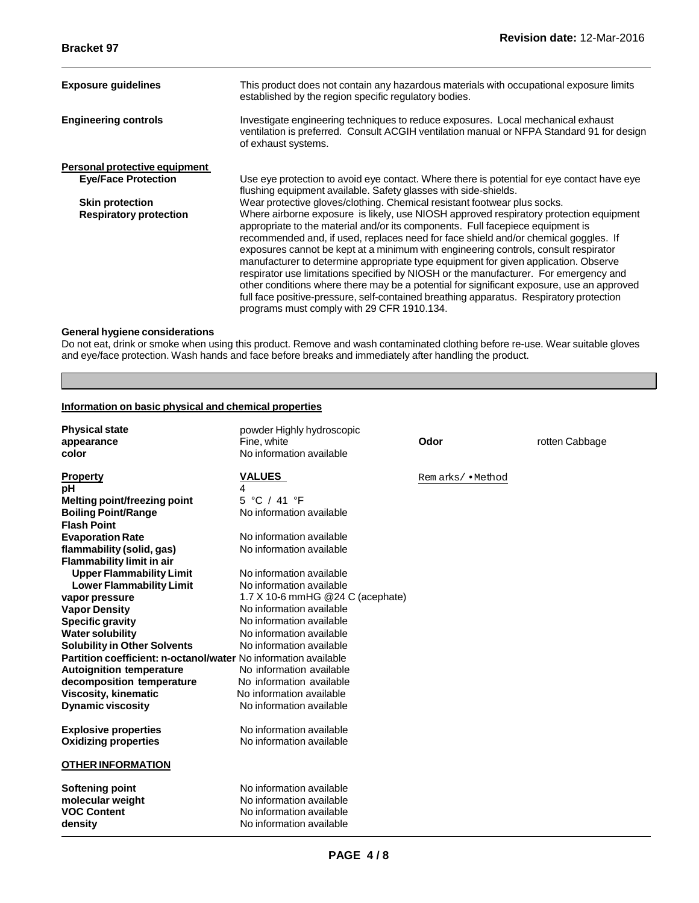| <b>Exposure guidelines</b>           | This product does not contain any hazardous materials with occupational exposure limits<br>established by the region specific regulatory bodies.                                                                                                                                                                                                                                                                                                                                                                                                                                                                                                                                                                                                                            |
|--------------------------------------|-----------------------------------------------------------------------------------------------------------------------------------------------------------------------------------------------------------------------------------------------------------------------------------------------------------------------------------------------------------------------------------------------------------------------------------------------------------------------------------------------------------------------------------------------------------------------------------------------------------------------------------------------------------------------------------------------------------------------------------------------------------------------------|
| <b>Engineering controls</b>          | Investigate engineering techniques to reduce exposures. Local mechanical exhaust<br>ventilation is preferred. Consult ACGIH ventilation manual or NFPA Standard 91 for design<br>of exhaust systems.                                                                                                                                                                                                                                                                                                                                                                                                                                                                                                                                                                        |
| <b>Personal protective equipment</b> |                                                                                                                                                                                                                                                                                                                                                                                                                                                                                                                                                                                                                                                                                                                                                                             |
| <b>Eye/Face Protection</b>           | Use eye protection to avoid eye contact. Where there is potential for eye contact have eye<br>flushing equipment available. Safety glasses with side-shields.                                                                                                                                                                                                                                                                                                                                                                                                                                                                                                                                                                                                               |
| <b>Skin protection</b>               | Wear protective gloves/clothing. Chemical resistant footwear plus socks.                                                                                                                                                                                                                                                                                                                                                                                                                                                                                                                                                                                                                                                                                                    |
| <b>Respiratory protection</b>        | Where airborne exposure is likely, use NIOSH approved respiratory protection equipment<br>appropriate to the material and/or its components. Full facepiece equipment is<br>recommended and, if used, replaces need for face shield and/or chemical goggles. If<br>exposures cannot be kept at a minimum with engineering controls, consult respirator<br>manufacturer to determine appropriate type equipment for given application. Observe<br>respirator use limitations specified by NIOSH or the manufacturer. For emergency and<br>other conditions where there may be a potential for significant exposure, use an approved<br>full face positive-pressure, self-contained breathing apparatus. Respiratory protection<br>programs must comply with 29 CFR 1910.134. |

### **General hygiene considerations**

Do not eat, drink or smoke when using this product. Remove and wash contaminated clothing before re-use. Wear suitable gloves and eye/face protection. Wash hands and face before breaks and immediately after handling the product.

**9. Physical and Chemical Properties**

#### **Information on basic physical and chemical properties**

| <b>Physical state</b><br>appearance<br>color                    | powder Highly hydroscopic<br>Fine, white<br>No information available | Odor              | rotten Cabbage |
|-----------------------------------------------------------------|----------------------------------------------------------------------|-------------------|----------------|
| <b>Property</b>                                                 | <b>VALUES</b>                                                        | Remarks/ • Method |                |
| рH                                                              | 4                                                                    |                   |                |
| Melting point/freezing point                                    | 5 °C / 41 °F                                                         |                   |                |
| <b>Boiling Point/Range</b>                                      | No information available                                             |                   |                |
| <b>Flash Point</b>                                              |                                                                      |                   |                |
| <b>Evaporation Rate</b>                                         | No information available                                             |                   |                |
| flammability (solid, gas)                                       | No information available                                             |                   |                |
| <b>Flammability limit in air</b>                                |                                                                      |                   |                |
| <b>Upper Flammability Limit</b>                                 | No information available                                             |                   |                |
| <b>Lower Flammability Limit</b>                                 | No information available                                             |                   |                |
| vapor pressure                                                  | 1.7 X 10-6 mmHG @24 C (acephate)                                     |                   |                |
| <b>Vapor Density</b>                                            | No information available<br>No information available                 |                   |                |
| <b>Specific gravity</b>                                         | No information available                                             |                   |                |
| <b>Water solubility</b>                                         |                                                                      |                   |                |
| <b>Solubility in Other Solvents</b>                             | No information available                                             |                   |                |
| Partition coefficient: n-octanol/water No information available |                                                                      |                   |                |
| <b>Autoignition temperature</b>                                 | No information available                                             |                   |                |
| decomposition temperature                                       | No information available                                             |                   |                |
| <b>Viscosity, kinematic</b>                                     | No information available                                             |                   |                |
| <b>Dynamic viscosity</b>                                        | No information available                                             |                   |                |
| <b>Explosive properties</b>                                     | No information available                                             |                   |                |
| <b>Oxidizing properties</b>                                     | No information available                                             |                   |                |
| <b>OTHER INFORMATION</b>                                        |                                                                      |                   |                |
| <b>Softening point</b>                                          | No information available                                             |                   |                |
| molecular weight                                                | No information available                                             |                   |                |
| <b>VOC Content</b>                                              | No information available                                             |                   |                |
| density                                                         | No information available                                             |                   |                |
|                                                                 |                                                                      |                   |                |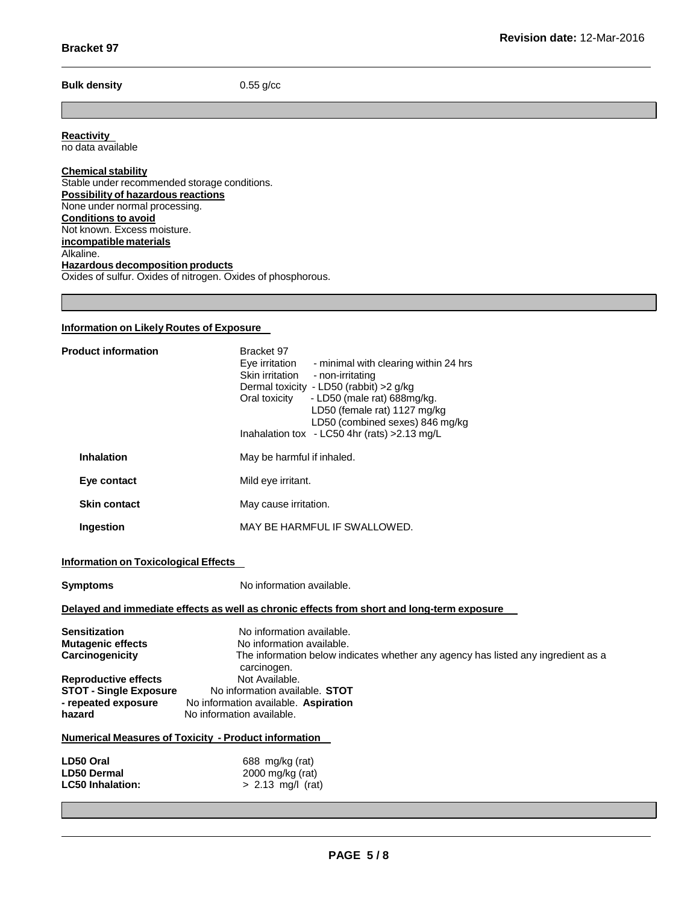#### **Bulk density** 0.55 g/cc

**Reactivity**

no data available

#### **Chemical stability** Stable under recommended storage conditions. **Possibility of hazardous reactions** None under normal processing. **Conditions to avoid** Not known. Excess moisture. **incompatible materials** Alkaline. **Hazardous decomposition products** Oxides of sulfur. Oxides of nitrogen. Oxides of phosphorous.

#### **Information on Likely Routes of Exposure**

| <b>Product information</b> | Bracket 97<br>Eye irritation<br>- minimal with clearing within 24 hrs<br>Skin irritation<br>- non-irritating<br>Dermal toxicity - LD50 (rabbit) > 2 g/kg<br>- LD50 (male rat) 688mg/kg.<br>Oral toxicity<br>LD50 (female rat) 1127 mg/kg<br>LD50 (combined sexes) 846 mg/kg<br>Inahalation tox - LC50 4hr (rats) $>2.13$ mg/L |
|----------------------------|-------------------------------------------------------------------------------------------------------------------------------------------------------------------------------------------------------------------------------------------------------------------------------------------------------------------------------|
| <b>Inhalation</b>          | May be harmful if inhaled.                                                                                                                                                                                                                                                                                                    |
| Eye contact                | Mild eye irritant.                                                                                                                                                                                                                                                                                                            |
| <b>Skin contact</b>        | May cause irritation.                                                                                                                                                                                                                                                                                                         |
| Ingestion                  | MAY BE HARMFUL IF SWALLOWED.                                                                                                                                                                                                                                                                                                  |

#### **Information on Toxicological Effects**

| <b>Symptoms</b>                                                                               | No information available.                                                                                                                                  |
|-----------------------------------------------------------------------------------------------|------------------------------------------------------------------------------------------------------------------------------------------------------------|
|                                                                                               | Delayed and immediate effects as well as chronic effects from short and long-term exposure                                                                 |
| <b>Sensitization</b><br><b>Mutagenic effects</b><br>Carcinogenicity                           | No information available.<br>No information available.<br>The information below indicates whether any agency has listed any ingredient as a<br>carcinogen. |
| <b>Reproductive effects</b><br><b>STOT - Single Exposure</b><br>- repeated exposure<br>hazard | Not Available.<br>No information available. STOT<br>No information available. Aspiration<br>No information available.                                      |
|                                                                                               | Numerical Measures of Toxicity - Product information                                                                                                       |
| LD50 Oral<br><b>LD50 Dermal</b><br><b>LC50 Inhalation:</b>                                    | 688 mg/kg (rat)<br>$2000 \text{ mg/kg}$ (rat)<br>$> 2.13$ mg/l (rat)                                                                                       |

**12. Ecological Information**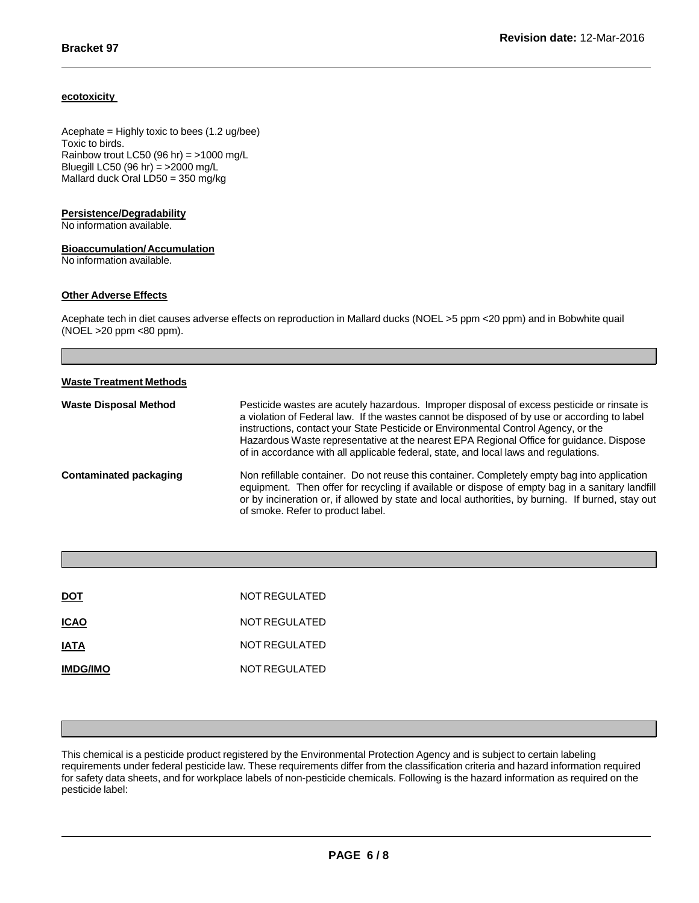#### **ecotoxicity**

Acephate = Highly toxic to bees (1.2 ug/bee) Toxic to birds. Rainbow trout LC50 (96 hr) =  $>1000$  mg/L Bluegill LC50 (96 hr) = >2000 mg/L Mallard duck Oral LD50 = 350 mg/kg

#### **Persistence/Degradability**

No information available.

#### **Bioaccumulation/Accumulation**

No information available.

#### **Other Adverse Effects**

Acephate tech in diet causes adverse effects on reproduction in Mallard ducks (NOEL >5 ppm <20 ppm) and in Bobwhite quail (NOEL >20 ppm <80 ppm).

| <b>Waste Treatment Methods</b> |                                                                                                                                                                                                                                                                                                                                                                                                                                                                      |
|--------------------------------|----------------------------------------------------------------------------------------------------------------------------------------------------------------------------------------------------------------------------------------------------------------------------------------------------------------------------------------------------------------------------------------------------------------------------------------------------------------------|
| <b>Waste Disposal Method</b>   | Pesticide wastes are acutely hazardous. Improper disposal of excess pesticide or rinsate is<br>a violation of Federal law. If the wastes cannot be disposed of by use or according to label<br>instructions, contact your State Pesticide or Environmental Control Agency, or the<br>Hazardous Waste representative at the nearest EPA Regional Office for guidance. Dispose<br>of in accordance with all applicable federal, state, and local laws and regulations. |
| Contaminated packaging         | Non refillable container. Do not reuse this container. Completely empty bag into application<br>equipment. Then offer for recycling if available or dispose of empty bag in a sanitary landfill<br>or by incineration or, if allowed by state and local authorities, by burning. If burned, stay out<br>of smoke. Refer to product label.                                                                                                                            |

| <b>DOT</b>      | NOT REGULATED |
|-----------------|---------------|
| <b>ICAO</b>     | NOT REGULATED |
| <b>IATA</b>     | NOT REGULATED |
| <b>IMDG/IMO</b> | NOT REGULATED |

This chemical is a pesticide product registered by the Environmental Protection Agency and is subject to certain labeling requirements under federal pesticide law. These requirements differ from the classification criteria and hazard information required for safety data sheets, and for workplace labels of non-pesticide chemicals. Following is the hazard information as required on the pesticide label:

**15. Regulatory Information**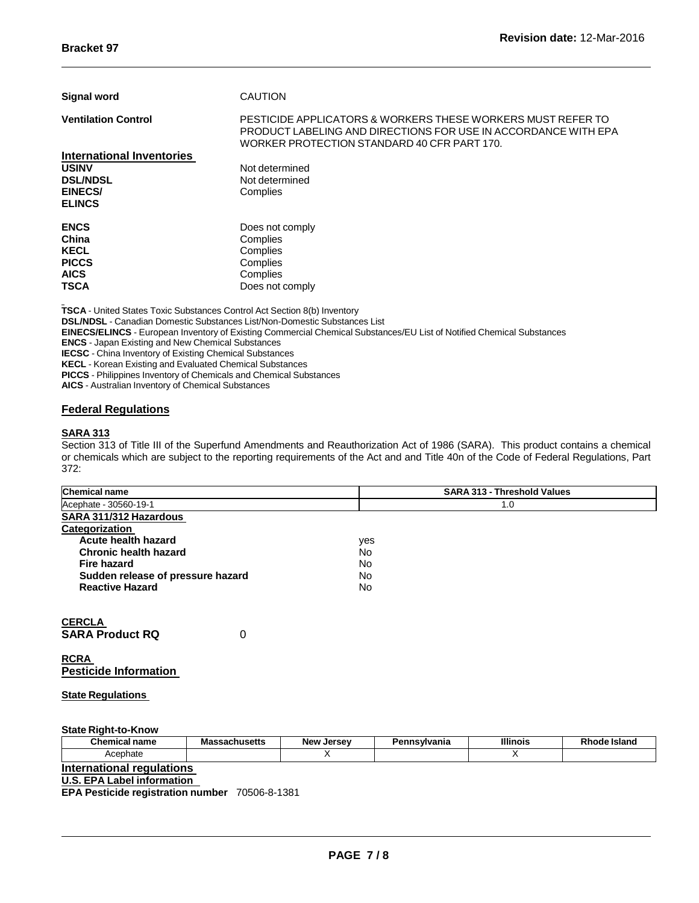| <b>Signal word</b>               | <b>CAUTION</b>                                                                                                                                                               |
|----------------------------------|------------------------------------------------------------------------------------------------------------------------------------------------------------------------------|
| <b>Ventilation Control</b>       | PESTICIDE APPLICATORS & WORKERS THESE WORKERS MUST REFER TO<br>PRODUCT LABELING AND DIRECTIONS FOR USE IN ACCORDANCE WITH EPA<br>WORKER PROTECTION STANDARD 40 CFR PART 170. |
| <b>International Inventories</b> |                                                                                                                                                                              |
| <b>USINV</b>                     | Not determined                                                                                                                                                               |
| <b>DSL/NDSL</b>                  | Not determined                                                                                                                                                               |
| <b>EINECS/</b>                   | Complies                                                                                                                                                                     |
| <b>ELINCS</b>                    |                                                                                                                                                                              |
| <b>ENCS</b>                      | Does not comply                                                                                                                                                              |
| China                            | Complies                                                                                                                                                                     |
| <b>KECL</b>                      | Complies                                                                                                                                                                     |
| <b>PICCS</b>                     | Complies                                                                                                                                                                     |
| <b>AICS</b>                      | Complies                                                                                                                                                                     |
| <b>TSCA</b>                      | Does not comply                                                                                                                                                              |

**TSCA** - United States Toxic Substances Control Act Section 8(b) Inventory **DSL/NDSL** - Canadian Domestic Substances List/Non-Domestic Substances List **EINECS/ELINCS** - European Inventory of Existing Commercial Chemical Substances/EU List of Notified Chemical Substances **ENCS** - Japan Existing and New Chemical Substances **IECSC** - China Inventory of Existing Chemical Substances **KECL** - Korean Existing and Evaluated Chemical Substances **PICCS** - Philippines Inventory of Chemicals and Chemical Substances **AICS** - Australian Inventory of Chemical Substances

#### **Federal Regulations**

#### **SARA 313**

Section 313 of Title III of the Superfund Amendments and Reauthorization Act of 1986 (SARA). This product contains a chemical or chemicals which are subject to the reporting requirements of the Act and and Title 40n of the Code of Federal Regulations, Part 372:

| <b>Chemical name</b>              | <b>SARA 313 - Threshold Values</b> |  |  |  |
|-----------------------------------|------------------------------------|--|--|--|
| Acephate - 30560-19-1             | 1.0                                |  |  |  |
| SARA 311/312 Hazardous            |                                    |  |  |  |
| Categorization                    |                                    |  |  |  |
| Acute health hazard               | yes                                |  |  |  |
| Chronic health hazard             | No                                 |  |  |  |
| <b>Fire hazard</b>                | No                                 |  |  |  |
| Sudden release of pressure hazard | No                                 |  |  |  |
| <b>Reactive Hazard</b>            | No.                                |  |  |  |
| <b>CERCLA</b>                     |                                    |  |  |  |
| 0<br><b>SARA Product RQ</b>       |                                    |  |  |  |

**RCRA Pesticide Information**

**State Regulations**

**State Right-to-Know**

| Chemical<br>name | $ - - + -$<br>vĸ<br>. | Jersev<br>New | <b>Tanna</b><br>------<br>ana | $\mathbf{m}$ | пыанч |
|------------------|-----------------------|---------------|-------------------------------|--------------|-------|
| nate<br>שטר      |                       |               |                               |              |       |

**International regulations**

**U.S. EPA Label information**

**EPA Pesticide registration number** 70506-8-1381